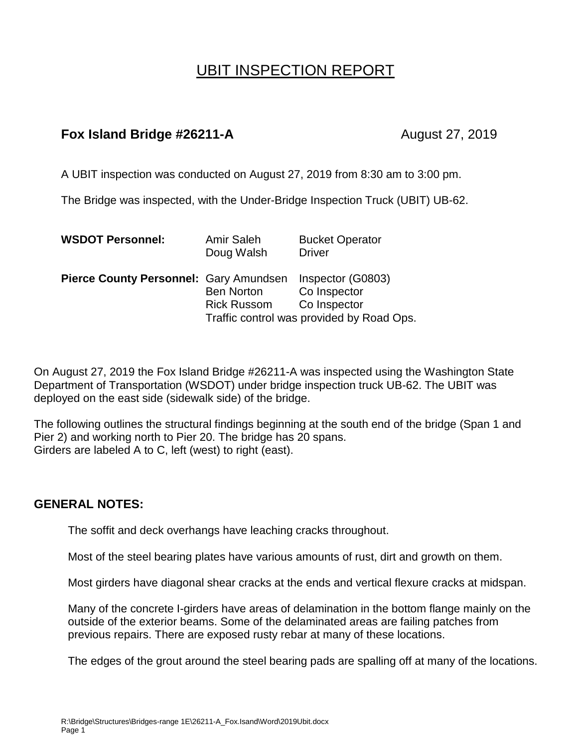## UBIT INSPECTION REPORT

## **Fox Island Bridge #26211-A** August 27, 2019

A UBIT inspection was conducted on August 27, 2019 from 8:30 am to 3:00 pm.

The Bridge was inspected, with the Under-Bridge Inspection Truck (UBIT) UB-62.

| <b>WSDOT Personnel:</b>                       | <b>Amir Saleh</b><br>Doug Walsh         | <b>Bucket Operator</b><br><b>Driver</b>                                                        |
|-----------------------------------------------|-----------------------------------------|------------------------------------------------------------------------------------------------|
| <b>Pierce County Personnel: Gary Amundsen</b> | <b>Ben Norton</b><br><b>Rick Russom</b> | Inspector (G0803)<br>Co Inspector<br>Co Inspector<br>Traffic control was provided by Road Ops. |
|                                               |                                         |                                                                                                |

On August 27, 2019 the Fox Island Bridge #26211-A was inspected using the Washington State Department of Transportation (WSDOT) under bridge inspection truck UB-62. The UBIT was deployed on the east side (sidewalk side) of the bridge.

The following outlines the structural findings beginning at the south end of the bridge (Span 1 and Pier 2) and working north to Pier 20. The bridge has 20 spans. Girders are labeled A to C, left (west) to right (east).

## **GENERAL NOTES:**

The soffit and deck overhangs have leaching cracks throughout.

Most of the steel bearing plates have various amounts of rust, dirt and growth on them.

Most girders have diagonal shear cracks at the ends and vertical flexure cracks at midspan.

Many of the concrete I-girders have areas of delamination in the bottom flange mainly on the outside of the exterior beams. Some of the delaminated areas are failing patches from previous repairs. There are exposed rusty rebar at many of these locations.

The edges of the grout around the steel bearing pads are spalling off at many of the locations.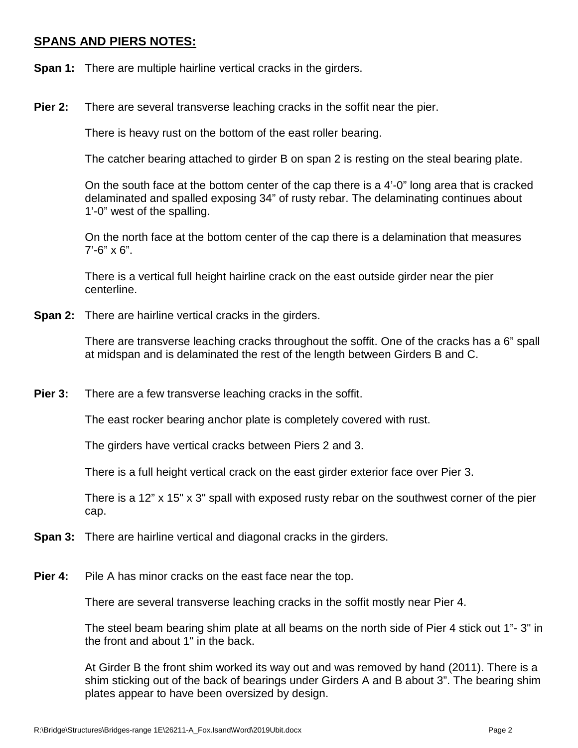## **SPANS AND PIERS NOTES:**

- **Span 1:** There are multiple hairline vertical cracks in the girders.
- **Pier 2:** There are several transverse leaching cracks in the soffit near the pier.

There is heavy rust on the bottom of the east roller bearing.

The catcher bearing attached to girder B on span 2 is resting on the steal bearing plate.

On the south face at the bottom center of the cap there is a 4'-0" long area that is cracked delaminated and spalled exposing 34" of rusty rebar. The delaminating continues about 1'-0" west of the spalling.

On the north face at the bottom center of the cap there is a delamination that measures  $7'-6'' \times 6''.$ 

There is a vertical full height hairline crack on the east outside girder near the pier centerline.

**Span 2:** There are hairline vertical cracks in the girders.

There are transverse leaching cracks throughout the soffit. One of the cracks has a 6" spall at midspan and is delaminated the rest of the length between Girders B and C.

**Pier 3:** There are a few transverse leaching cracks in the soffit.

The east rocker bearing anchor plate is completely covered with rust.

The girders have vertical cracks between Piers 2 and 3.

There is a full height vertical crack on the east girder exterior face over Pier 3.

There is a 12" x 15" x 3" spall with exposed rusty rebar on the southwest corner of the pier cap.

- **Span 3:** There are hairline vertical and diagonal cracks in the girders.
- **Pier 4:** Pile A has minor cracks on the east face near the top.

There are several transverse leaching cracks in the soffit mostly near Pier 4.

The steel beam bearing shim plate at all beams on the north side of Pier 4 stick out 1"- 3" in the front and about 1" in the back.

At Girder B the front shim worked its way out and was removed by hand (2011). There is a shim sticking out of the back of bearings under Girders A and B about 3". The bearing shim plates appear to have been oversized by design.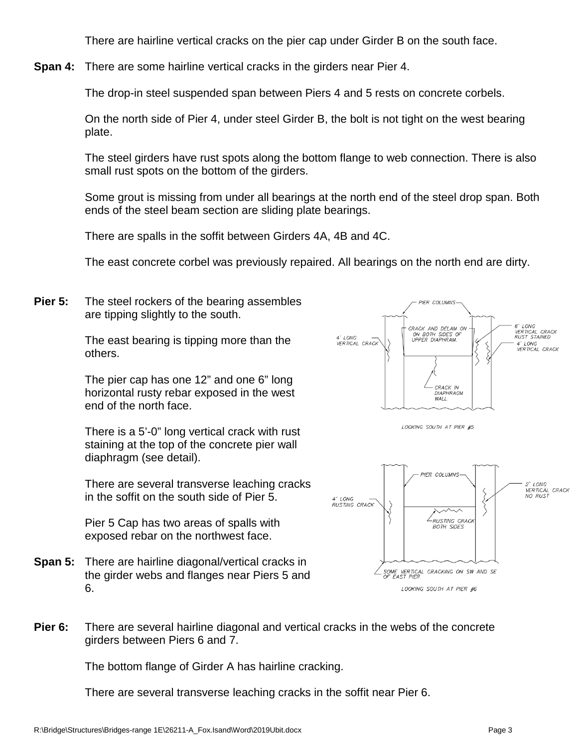There are hairline vertical cracks on the pier cap under Girder B on the south face.

**Span 4:** There are some hairline vertical cracks in the girders near Pier 4.

The drop-in steel suspended span between Piers 4 and 5 rests on concrete corbels.

On the north side of Pier 4, under steel Girder B, the bolt is not tight on the west bearing plate.

The steel girders have rust spots along the bottom flange to web connection. There is also small rust spots on the bottom of the girders.

Some grout is missing from under all bearings at the north end of the steel drop span. Both ends of the steel beam section are sliding plate bearings.

There are spalls in the soffit between Girders 4A, 4B and 4C.

The east concrete corbel was previously repaired. All bearings on the north end are dirty.

**Pier 5:** The steel rockers of the bearing assembles are tipping slightly to the south.

> The east bearing is tipping more than the others.

The pier cap has one 12" and one 6" long horizontal rusty rebar exposed in the west end of the north face.

There is a 5'-0" long vertical crack with rust staining at the top of the concrete pier wall diaphragm (see detail).

There are several transverse leaching cracks in the soffit on the south side of Pier 5.

Pier 5 Cap has two areas of spalls with exposed rebar on the northwest face.

**Span 5:** There are hairline diagonal/vertical cracks in the girder webs and flanges near Piers 5 and 6.







**Pier 6:** There are several hairline diagonal and vertical cracks in the webs of the concrete girders between Piers 6 and 7.

The bottom flange of Girder A has hairline cracking.

There are several transverse leaching cracks in the soffit near Pier 6.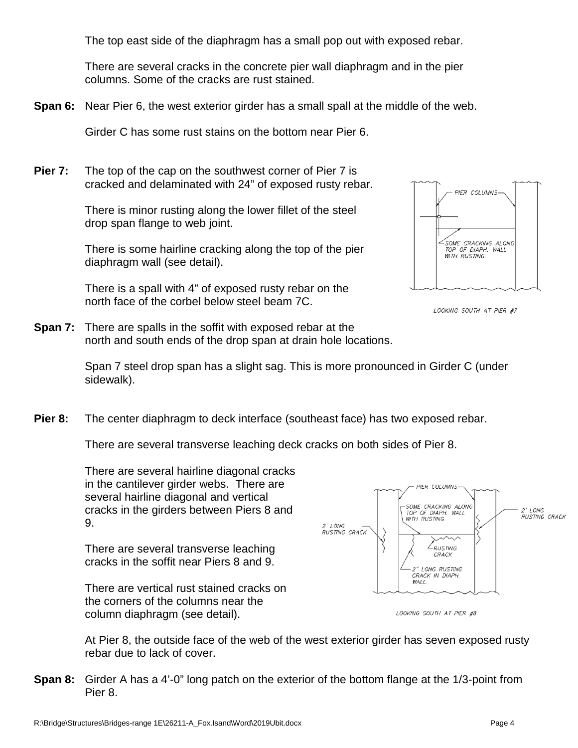The top east side of the diaphragm has a small pop out with exposed rebar.

There are several cracks in the concrete pier wall diaphragm and in the pier columns. Some of the cracks are rust stained.

**Span 6:** Near Pier 6, the west exterior girder has a small spall at the middle of the web.

Girder C has some rust stains on the bottom near Pier 6.

**Pier 7:** The top of the cap on the southwest corner of Pier 7 is cracked and delaminated with 24" of exposed rusty rebar.

> There is minor rusting along the lower fillet of the steel drop span flange to web joint.

There is some hairline cracking along the top of the pier diaphragm wall (see detail).

There is a spall with 4" of exposed rusty rebar on the north face of the corbel below steel beam 7C.



LOOKING SOUTH AT PIER #7

**Span 7:** There are spalls in the soffit with exposed rebar at the north and south ends of the drop span at drain hole locations.

> Span 7 steel drop span has a slight sag. This is more pronounced in Girder C (under sidewalk).

**Pier 8:** The center diaphragm to deck interface (southeast face) has two exposed rebar.

There are several transverse leaching deck cracks on both sides of Pier 8.

There are several hairline diagonal cracks in the cantilever girder webs. There are several hairline diagonal and vertical cracks in the girders between Piers 8 and 9.

There are several transverse leaching cracks in the soffit near Piers 8 and 9.

There are vertical rust stained cracks on the corners of the columns near the column diaphragm (see detail).





At Pier 8, the outside face of the web of the west exterior girder has seven exposed rusty rebar due to lack of cover.

**Span 8:** Girder A has a 4'-0" long patch on the exterior of the bottom flange at the 1/3-point from Pier 8.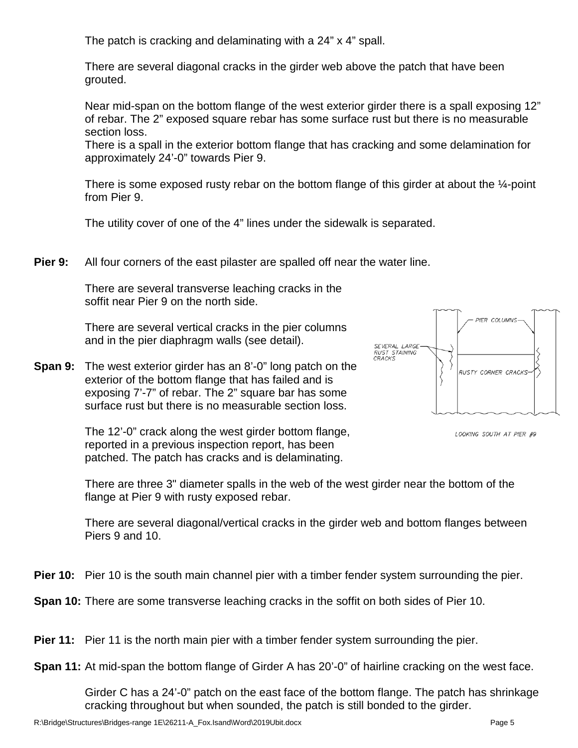The patch is cracking and delaminating with a 24" x 4" spall.

There are several diagonal cracks in the girder web above the patch that have been grouted.

Near mid-span on the bottom flange of the west exterior girder there is a spall exposing 12" of rebar. The 2" exposed square rebar has some surface rust but there is no measurable section loss.

There is a spall in the exterior bottom flange that has cracking and some delamination for approximately 24'-0" towards Pier 9.

There is some exposed rusty rebar on the bottom flange of this girder at about the ¼-point from Pier 9.

The utility cover of one of the 4" lines under the sidewalk is separated.

**Pier 9:** All four corners of the east pilaster are spalled off near the water line.

There are several transverse leaching cracks in the soffit near Pier 9 on the north side.

There are several vertical cracks in the pier columns and in the pier diaphragm walls (see detail).

**Span 9:** The west exterior girder has an 8'-0" long patch on the exterior of the bottom flange that has failed and is exposing 7'-7" of rebar. The 2" square bar has some surface rust but there is no measurable section loss.

> The 12'-0" crack along the west girder bottom flange, reported in a previous inspection report, has been patched. The patch has cracks and is delaminating.



LOOKING SOUTH AT PIER #9

There are three 3" diameter spalls in the web of the west girder near the bottom of the flange at Pier 9 with rusty exposed rebar.

There are several diagonal/vertical cracks in the girder web and bottom flanges between Piers 9 and 10.

**Pier 10:** Pier 10 is the south main channel pier with a timber fender system surrounding the pier.

**Span 10:** There are some transverse leaching cracks in the soffit on both sides of Pier 10.

**Pier 11:** Pier 11 is the north main pier with a timber fender system surrounding the pier.

**Span 11:** At mid-span the bottom flange of Girder A has 20'-0" of hairline cracking on the west face.

Girder C has a 24'-0" patch on the east face of the bottom flange. The patch has shrinkage cracking throughout but when sounded, the patch is still bonded to the girder.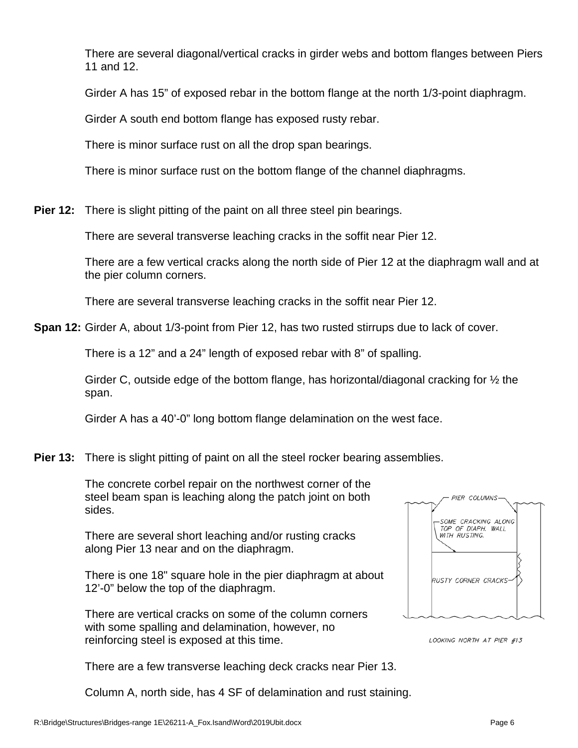There are several diagonal/vertical cracks in girder webs and bottom flanges between Piers 11 and 12.

Girder A has 15" of exposed rebar in the bottom flange at the north 1/3-point diaphragm.

Girder A south end bottom flange has exposed rusty rebar.

There is minor surface rust on all the drop span bearings.

There is minor surface rust on the bottom flange of the channel diaphragms.

**Pier 12:** There is slight pitting of the paint on all three steel pin bearings.

There are several transverse leaching cracks in the soffit near Pier 12.

There are a few vertical cracks along the north side of Pier 12 at the diaphragm wall and at the pier column corners.

There are several transverse leaching cracks in the soffit near Pier 12.

**Span 12:** Girder A, about 1/3-point from Pier 12, has two rusted stirrups due to lack of cover.

There is a 12" and a 24" length of exposed rebar with 8" of spalling.

Girder C, outside edge of the bottom flange, has horizontal/diagonal cracking for  $\frac{1}{2}$  the span.

Girder A has a 40'-0" long bottom flange delamination on the west face.

**Pier 13:** There is slight pitting of paint on all the steel rocker bearing assemblies.

The concrete corbel repair on the northwest corner of the steel beam span is leaching along the patch joint on both sides.

There are several short leaching and/or rusting cracks along Pier 13 near and on the diaphragm.

There is one 18" square hole in the pier diaphragm at about 12'-0" below the top of the diaphragm.

There are vertical cracks on some of the column corners with some spalling and delamination, however, no reinforcing steel is exposed at this time.

There are a few transverse leaching deck cracks near Pier 13.

Column A, north side, has 4 SF of delamination and rust staining.



LOOKING NORTH AT PIER #13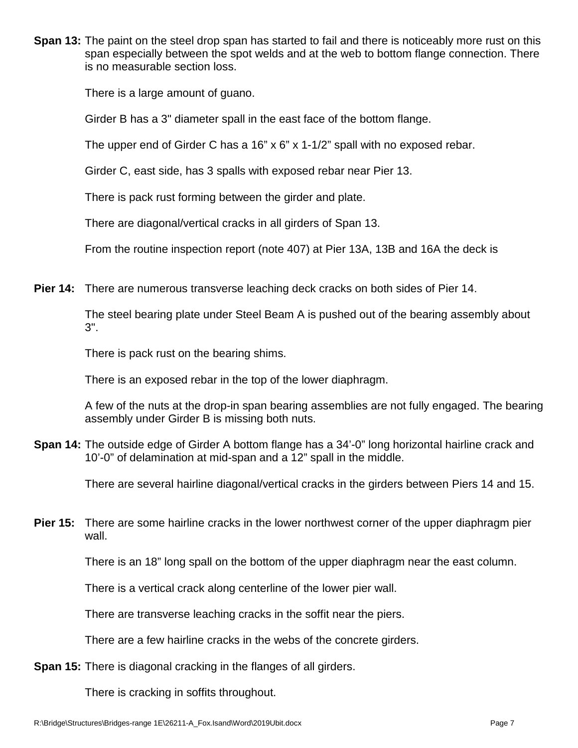**Span 13:** The paint on the steel drop span has started to fail and there is noticeably more rust on this span especially between the spot welds and at the web to bottom flange connection. There is no measurable section loss.

There is a large amount of guano.

Girder B has a 3" diameter spall in the east face of the bottom flange.

The upper end of Girder C has a 16" x 6" x 1-1/2" spall with no exposed rebar.

Girder C, east side, has 3 spalls with exposed rebar near Pier 13.

There is pack rust forming between the girder and plate.

There are diagonal/vertical cracks in all girders of Span 13.

From the routine inspection report (note 407) at Pier 13A, 13B and 16A the deck is

**Pier 14:** There are numerous transverse leaching deck cracks on both sides of Pier 14.

The steel bearing plate under Steel Beam A is pushed out of the bearing assembly about 3".

There is pack rust on the bearing shims.

There is an exposed rebar in the top of the lower diaphragm.

A few of the nuts at the drop-in span bearing assemblies are not fully engaged. The bearing assembly under Girder B is missing both nuts.

**Span 14:** The outside edge of Girder A bottom flange has a 34'-0" long horizontal hairline crack and 10'-0" of delamination at mid-span and a 12" spall in the middle.

There are several hairline diagonal/vertical cracks in the girders between Piers 14 and 15.

**Pier 15:** There are some hairline cracks in the lower northwest corner of the upper diaphragm pier wall.

There is an 18" long spall on the bottom of the upper diaphragm near the east column.

There is a vertical crack along centerline of the lower pier wall.

There are transverse leaching cracks in the soffit near the piers.

There are a few hairline cracks in the webs of the concrete girders.

**Span 15:** There is diagonal cracking in the flanges of all girders.

There is cracking in soffits throughout.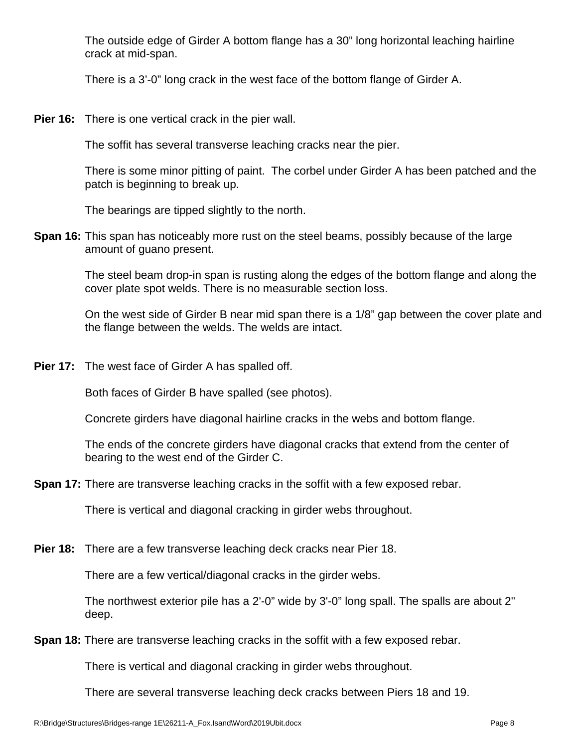The outside edge of Girder A bottom flange has a 30" long horizontal leaching hairline crack at mid-span.

There is a 3'-0" long crack in the west face of the bottom flange of Girder A.

**Pier 16:** There is one vertical crack in the pier wall.

The soffit has several transverse leaching cracks near the pier.

There is some minor pitting of paint. The corbel under Girder A has been patched and the patch is beginning to break up.

The bearings are tipped slightly to the north.

**Span 16:** This span has noticeably more rust on the steel beams, possibly because of the large amount of guano present.

> The steel beam drop-in span is rusting along the edges of the bottom flange and along the cover plate spot welds. There is no measurable section loss.

On the west side of Girder B near mid span there is a 1/8" gap between the cover plate and the flange between the welds. The welds are intact.

**Pier 17:** The west face of Girder A has spalled off.

Both faces of Girder B have spalled (see photos).

Concrete girders have diagonal hairline cracks in the webs and bottom flange.

The ends of the concrete girders have diagonal cracks that extend from the center of bearing to the west end of the Girder C.

**Span 17:** There are transverse leaching cracks in the soffit with a few exposed rebar.

There is vertical and diagonal cracking in girder webs throughout.

**Pier 18:** There are a few transverse leaching deck cracks near Pier 18.

There are a few vertical/diagonal cracks in the girder webs.

The northwest exterior pile has a 2'-0" wide by 3'-0" long spall. The spalls are about 2" deep.

**Span 18:** There are transverse leaching cracks in the soffit with a few exposed rebar.

There is vertical and diagonal cracking in girder webs throughout.

There are several transverse leaching deck cracks between Piers 18 and 19.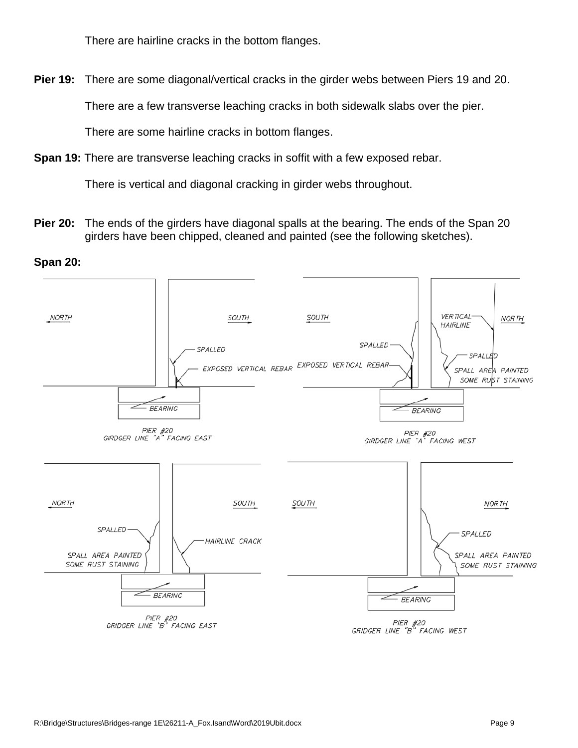There are hairline cracks in the bottom flanges.

**Pier 19:** There are some diagonal/vertical cracks in the girder webs between Piers 19 and 20.

There are a few transverse leaching cracks in both sidewalk slabs over the pier.

There are some hairline cracks in bottom flanges.

**Span 19:** There are transverse leaching cracks in soffit with a few exposed rebar.

There is vertical and diagonal cracking in girder webs throughout.

**Pier 20:** The ends of the girders have diagonal spalls at the bearing. The ends of the Span 20 girders have been chipped, cleaned and painted (see the following sketches).